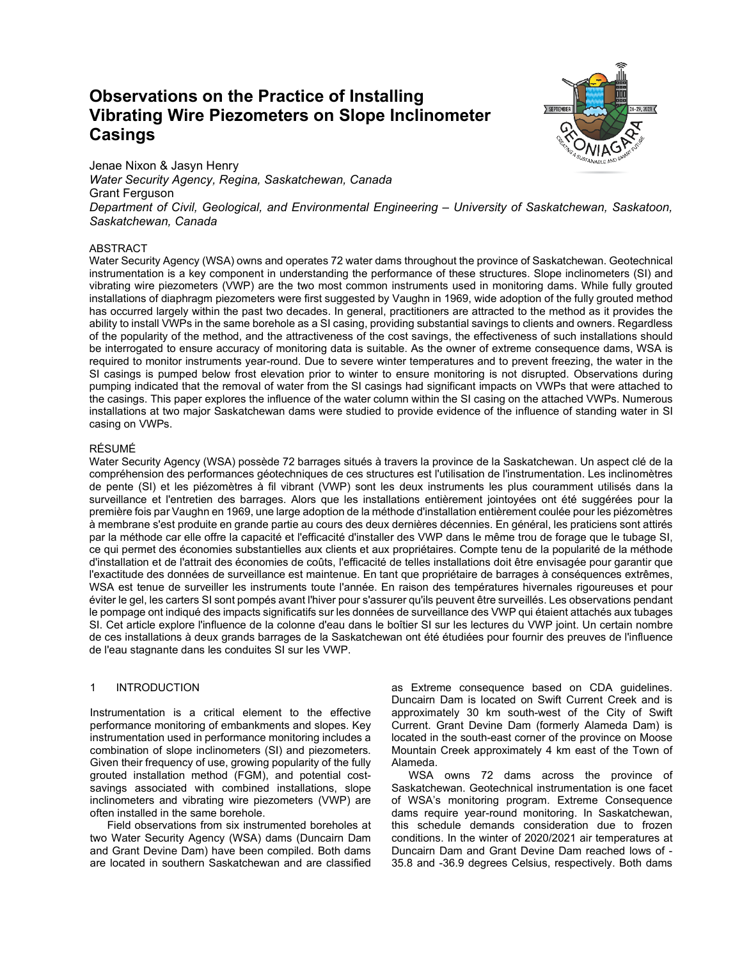# **Observations on the Practice of Installing Vibrating Wire Piezometers on Slope Inclinometer Casings**



Jenae Nixon & Jasyn Henry *Water Security Agency, Regina, Saskatchewan, Canada* Grant Ferguson *Department of Civil, Geological, and Environmental Engineering – University of Saskatchewan, Saskatoon, Saskatchewan, Canada*

## ABSTRACT

Water Security Agency (WSA) owns and operates 72 water dams throughout the province of Saskatchewan. Geotechnical instrumentation is a key component in understanding the performance of these structures. Slope inclinometers (SI) and vibrating wire piezometers (VWP) are the two most common instruments used in monitoring dams. While fully grouted installations of diaphragm piezometers were first suggested by Vaughn in 1969, wide adoption of the fully grouted method has occurred largely within the past two decades. In general, practitioners are attracted to the method as it provides the ability to install VWPs in the same borehole as a SI casing, providing substantial savings to clients and owners. Regardless of the popularity of the method, and the attractiveness of the cost savings, the effectiveness of such installations should be interrogated to ensure accuracy of monitoring data is suitable. As the owner of extreme consequence dams, WSA is required to monitor instruments year-round. Due to severe winter temperatures and to prevent freezing, the water in the SI casings is pumped below frost elevation prior to winter to ensure monitoring is not disrupted. Observations during pumping indicated that the removal of water from the SI casings had significant impacts on VWPs that were attached to the casings. This paper explores the influence of the water column within the SI casing on the attached VWPs. Numerous installations at two major Saskatchewan dams were studied to provide evidence of the influence of standing water in SI casing on VWPs.

#### RÉSUMÉ

Water Security Agency (WSA) possède 72 barrages situés à travers la province de la Saskatchewan. Un aspect clé de la compréhension des performances géotechniques de ces structures est l'utilisation de l'instrumentation. Les inclinomètres de pente (SI) et les piézomètres à fil vibrant (VWP) sont les deux instruments les plus couramment utilisés dans la surveillance et l'entretien des barrages. Alors que les installations entièrement jointoyées ont été suggérées pour la première fois par Vaughn en 1969, une large adoption de la méthode d'installation entièrement coulée pour les piézomètres à membrane s'est produite en grande partie au cours des deux dernières décennies. En général, les praticiens sont attirés par la méthode car elle offre la capacité et l'efficacité d'installer des VWP dans le même trou de forage que le tubage SI, ce qui permet des économies substantielles aux clients et aux propriétaires. Compte tenu de la popularité de la méthode d'installation et de l'attrait des économies de coûts, l'efficacité de telles installations doit être envisagée pour garantir que l'exactitude des données de surveillance est maintenue. En tant que propriétaire de barrages à conséquences extrêmes, WSA est tenue de surveiller les instruments toute l'année. En raison des températures hivernales rigoureuses et pour éviter le gel, les carters SI sont pompés avant l'hiver pour s'assurer qu'ils peuvent être surveillés. Les observations pendant le pompage ont indiqué des impacts significatifs sur les données de surveillance des VWP qui étaient attachés aux tubages SI. Cet article explore l'influence de la colonne d'eau dans le boîtier SI sur les lectures du VWP joint. Un certain nombre de ces installations à deux grands barrages de la Saskatchewan ont été étudiées pour fournir des preuves de l'influence de l'eau stagnante dans les conduites SI sur les VWP.

#### 1 INTRODUCTION

Instrumentation is a critical element to the effective performance monitoring of embankments and slopes. Key instrumentation used in performance monitoring includes a combination of slope inclinometers (SI) and piezometers. Given their frequency of use, growing popularity of the fully grouted installation method (FGM), and potential costsavings associated with combined installations, slope inclinometers and vibrating wire piezometers (VWP) are often installed in the same borehole.

Field observations from six instrumented boreholes at two Water Security Agency (WSA) dams (Duncairn Dam and Grant Devine Dam) have been compiled. Both dams are located in southern Saskatchewan and are classified as Extreme consequence based on CDA guidelines. Duncairn Dam is located on Swift Current Creek and is approximately 30 km south-west of the City of Swift Current. Grant Devine Dam (formerly Alameda Dam) is located in the south-east corner of the province on Moose Mountain Creek approximately 4 km east of the Town of Alameda.

WSA owns 72 dams across the province of Saskatchewan. Geotechnical instrumentation is one facet of WSA's monitoring program. Extreme Consequence dams require year-round monitoring. In Saskatchewan, this schedule demands consideration due to frozen conditions. In the winter of 2020/2021 air temperatures at Duncairn Dam and Grant Devine Dam reached lows of - 35.8 and -36.9 degrees Celsius, respectively. Both dams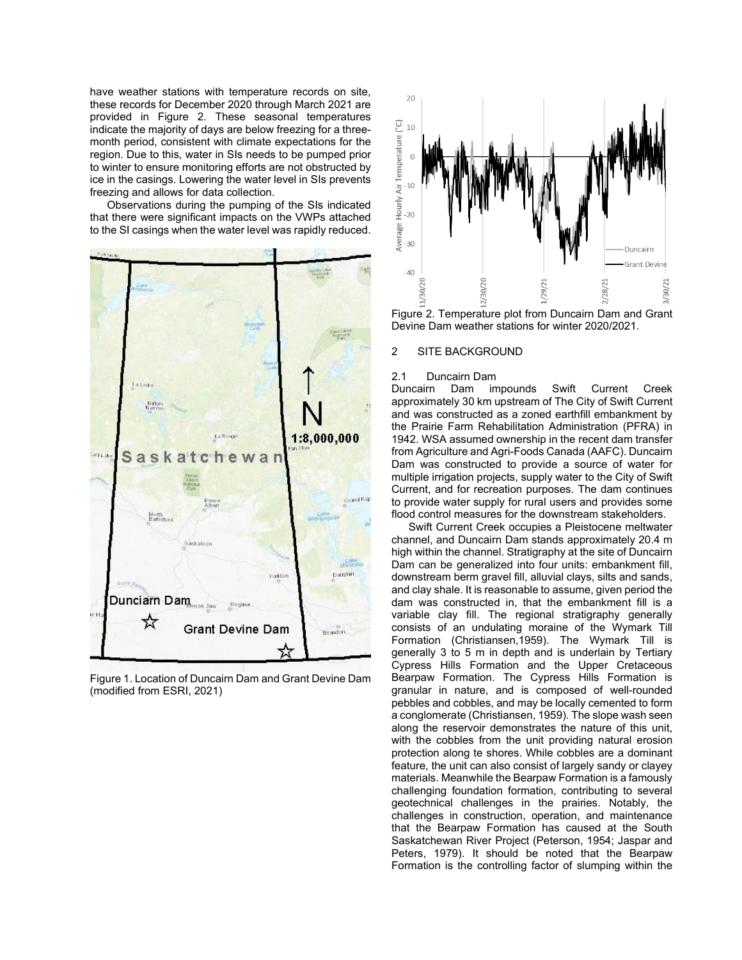have weather stations with temperature records on site, these records for December 2020 through March 2021 are provided in Figure 2. These seasonal temperatures indicate the majority of days are below freezing for a threemonth period, consistent with climate expectations for the region. Due to this, water in SIs needs to be pumped prior to winter to ensure monitoring efforts are not obstructed by ice in the casings. Lowering the water level in SIs prevents freezing and allows for data collection.

Observations during the pumping of the SIs indicated that there were significant impacts on the VWPs attached to the SI casings when the water level was rapidly reduced.



Figure 1. Location of Duncairn Dam and Grant Devine Dam (modified from ESRI, 2021)



Figure 2. Temperature plot from Duncairn Dam and Grant Devine Dam weather stations for winter 2020/2021.

#### 2 SITE BACKGROUND

#### 2.1 Duncairn Dam

Duncairn Dam impounds Swift Current Creek approximately 30 km upstream of The City of Swift Current and was constructed as a zoned earthfill embankment by the Prairie Farm Rehabilitation Administration (PFRA) in 1942. WSA assumed ownership in the recent dam transfer from Agriculture and Agri-Foods Canada (AAFC). Duncairn Dam was constructed to provide a source of water for multiple irrigation projects, supply water to the City of Swift Current, and for recreation purposes. The dam continues to provide water supply for rural users and provides some flood control measures for the downstream stakeholders.

Swift Current Creek occupies a Pleistocene meltwater channel, and Duncairn Dam stands approximately 20.4 m high within the channel. Stratigraphy at the site of Duncairn Dam can be generalized into four units: embankment fill, downstream berm gravel fill, alluvial clays, silts and sands, and clay shale. It is reasonable to assume, given period the dam was constructed in, that the embankment fill is a variable clay fill. The regional stratigraphy generally consists of an undulating moraine of the Wymark Till Formation (Christiansen,1959). The Wymark Till is generally 3 to 5 m in depth and is underlain by Tertiary Cypress Hills Formation and the Upper Cretaceous Bearpaw Formation. The Cypress Hills Formation is granular in nature, and is composed of well-rounded pebbles and cobbles, and may be locally cemented to form a conglomerate (Christiansen, 1959). The slope wash seen along the reservoir demonstrates the nature of this unit, with the cobbles from the unit providing natural erosion protection along te shores. While cobbles are a dominant feature, the unit can also consist of largely sandy or clayey materials. Meanwhile the Bearpaw Formation is a famously challenging foundation formation, contributing to several geotechnical challenges in the prairies. Notably, the challenges in construction, operation, and maintenance that the Bearpaw Formation has caused at the South Saskatchewan River Project (Peterson, 1954; Jaspar and Peters, 1979). It should be noted that the Bearpaw Formation is the controlling factor of slumping within the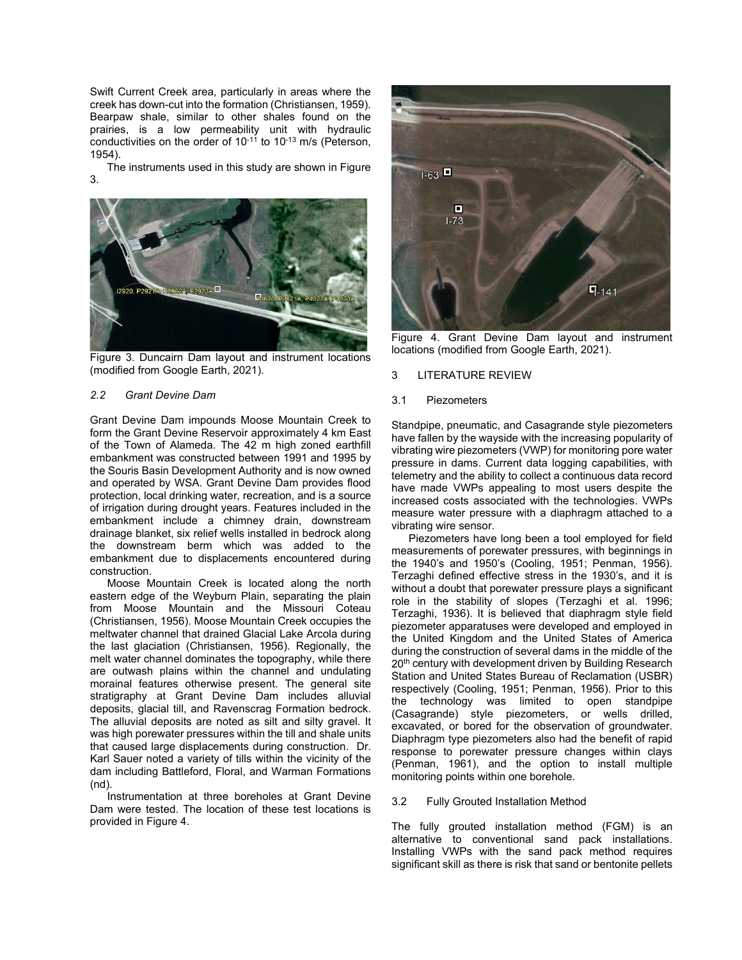Swift Current Creek area, particularly in areas where the creek has down-cut into the formation (Christiansen, 1959). Bearpaw shale, similar to other shales found on the prairies, is a low permeability unit with hydraulic conductivities on the order of  $10^{-11}$  to  $10^{-13}$  m/s (Peterson, 1954).

The instruments used in this study are shown in Figure 3.



Figure 3. Duncairn Dam layout and instrument locations (modified from Google Earth, 2021).

#### *2.2 Grant Devine Dam*

Grant Devine Dam impounds Moose Mountain Creek to form the Grant Devine Reservoir approximately 4 km East of the Town of Alameda. The 42 m high zoned earthfill embankment was constructed between 1991 and 1995 by the Souris Basin Development Authority and is now owned and operated by WSA. Grant Devine Dam provides flood protection, local drinking water, recreation, and is a source of irrigation during drought years. Features included in the embankment include a chimney drain, downstream drainage blanket, six relief wells installed in bedrock along the downstream berm which was added to the embankment due to displacements encountered during construction.

Moose Mountain Creek is located along the north eastern edge of the Weyburn Plain, separating the plain from Moose Mountain and the Missouri Coteau (Christiansen, 1956). Moose Mountain Creek occupies the meltwater channel that drained Glacial Lake Arcola during the last glaciation (Christiansen, 1956). Regionally, the melt water channel dominates the topography, while there are outwash plains within the channel and undulating morainal features otherwise present. The general site stratigraphy at Grant Devine Dam includes alluvial deposits, glacial till, and Ravenscrag Formation bedrock. The alluvial deposits are noted as silt and silty gravel. It was high porewater pressures within the till and shale units that caused large displacements during construction. Dr. Karl Sauer noted a variety of tills within the vicinity of the dam including Battleford, Floral, and Warman Formations (nd).

Instrumentation at three boreholes at Grant Devine Dam were tested. The location of these test locations is provided in Figure 4.



Figure 4. Grant Devine Dam layout and instrument locations (modified from Google Earth, 2021).

# 3 LITERATURE REVIEW

#### 3.1 Piezometers

Standpipe, pneumatic, and Casagrande style piezometers have fallen by the wayside with the increasing popularity of vibrating wire piezometers (VWP) for monitoring pore water pressure in dams. Current data logging capabilities, with telemetry and the ability to collect a continuous data record have made VWPs appealing to most users despite the increased costs associated with the technologies. VWPs measure water pressure with a diaphragm attached to a vibrating wire sensor.

Piezometers have long been a tool employed for field measurements of porewater pressures, with beginnings in the 1940's and 1950's (Cooling, 1951; Penman, 1956). Terzaghi defined effective stress in the 1930's, and it is without a doubt that porewater pressure plays a significant role in the stability of slopes (Terzaghi et al. 1996; Terzaghi, 1936). It is believed that diaphragm style field piezometer apparatuses were developed and employed in the United Kingdom and the United States of America during the construction of several dams in the middle of the 20<sup>th</sup> century with development driven by Building Research Station and United States Bureau of Reclamation (USBR) respectively (Cooling, 1951; Penman, 1956). Prior to this the technology was limited to open standpipe (Casagrande) style piezometers, or wells drilled, excavated, or bored for the observation of groundwater. Diaphragm type piezometers also had the benefit of rapid response to porewater pressure changes within clays (Penman, 1961), and the option to install multiple monitoring points within one borehole.

#### 3.2 Fully Grouted Installation Method

The fully grouted installation method (FGM) is an alternative to conventional sand pack installations. Installing VWPs with the sand pack method requires significant skill as there is risk that sand or bentonite pellets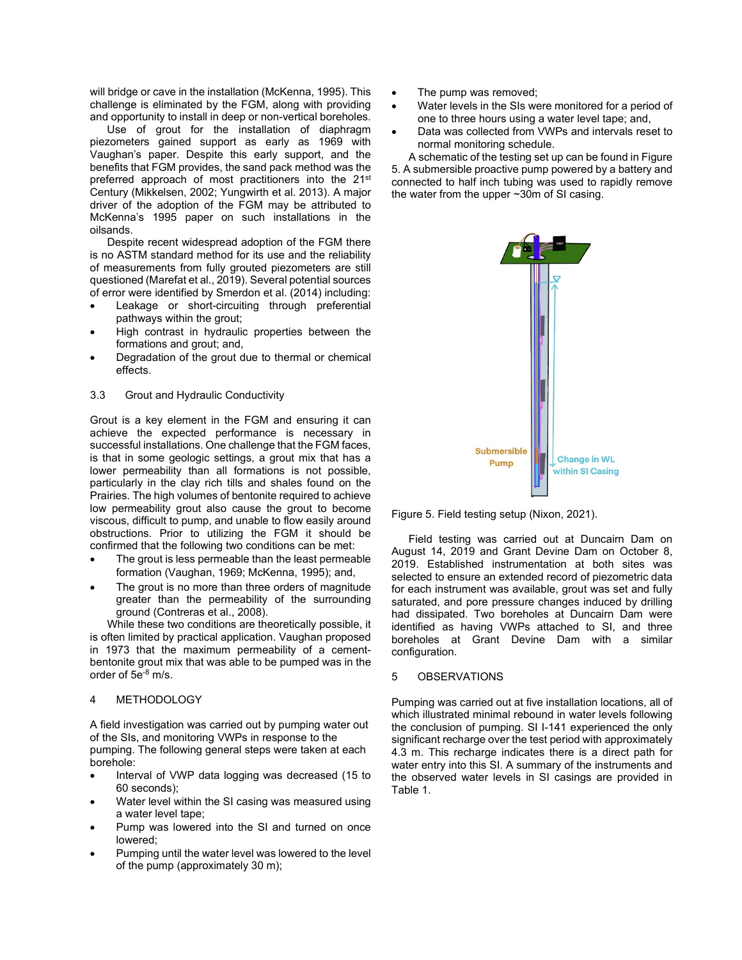will bridge or cave in the installation (McKenna, 1995). This challenge is eliminated by the FGM, along with providing and opportunity to install in deep or non-vertical boreholes.

Use of grout for the installation of diaphragm piezometers gained support as early as 1969 with Vaughan's paper. Despite this early support, and the benefits that FGM provides, the sand pack method was the preferred approach of most practitioners into the 21<sup>st</sup> Century (Mikkelsen, 2002; Yungwirth et al. 2013). A major driver of the adoption of the FGM may be attributed to McKenna's 1995 paper on such installations in the oilsands.

Despite recent widespread adoption of the FGM there is no ASTM standard method for its use and the reliability of measurements from fully grouted piezometers are still questioned (Marefat et al., 2019). Several potential sources of error were identified by Smerdon et al. (2014) including:

- Leakage or short-circuiting through preferential pathways within the grout;
- High contrast in hydraulic properties between the formations and grout; and,
- Degradation of the grout due to thermal or chemical effects.
- 3.3 Grout and Hydraulic Conductivity

Grout is a key element in the FGM and ensuring it can achieve the expected performance is necessary in successful installations. One challenge that the FGM faces, is that in some geologic settings, a grout mix that has a lower permeability than all formations is not possible, particularly in the clay rich tills and shales found on the Prairies. The high volumes of bentonite required to achieve low permeability grout also cause the grout to become viscous, difficult to pump, and unable to flow easily around obstructions. Prior to utilizing the FGM it should be confirmed that the following two conditions can be met:

- The grout is less permeable than the least permeable formation (Vaughan, 1969; McKenna, 1995); and,
- The grout is no more than three orders of magnitude greater than the permeability of the surrounding ground (Contreras et al., 2008).

While these two conditions are theoretically possible, it is often limited by practical application. Vaughan proposed in 1973 that the maximum permeability of a cementbentonite grout mix that was able to be pumped was in the order of 5e<sup>-8</sup> m/s.

# 4 METHODOLOGY

A field investigation was carried out by pumping water out of the SIs, and monitoring VWPs in response to the pumping. The following general steps were taken at each borehole:

- Interval of VWP data logging was decreased (15 to 60 seconds);
- Water level within the SI casing was measured using a water level tape;
- Pump was lowered into the SI and turned on once lowered;
- Pumping until the water level was lowered to the level of the pump (approximately 30 m);
- The pump was removed;
- Water levels in the SIs were monitored for a period of one to three hours using a water level tape; and,
- Data was collected from VWPs and intervals reset to normal monitoring schedule.

A schematic of the testing set up can be found in Figure 5. A submersible proactive pump powered by a battery and connected to half inch tubing was used to rapidly remove the water from the upper ~30m of SI casing.



Figure 5. Field testing setup (Nixon, 2021).

Field testing was carried out at Duncairn Dam on August 14, 2019 and Grant Devine Dam on October 8, 2019. Established instrumentation at both sites was selected to ensure an extended record of piezometric data for each instrument was available, grout was set and fully saturated, and pore pressure changes induced by drilling had dissipated. Two boreholes at Duncairn Dam were identified as having VWPs attached to SI, and three boreholes at Grant Devine Dam with a similar configuration.

## 5 OBSERVATIONS

Pumping was carried out at five installation locations, all of which illustrated minimal rebound in water levels following the conclusion of pumping. SI I-141 experienced the only significant recharge over the test period with approximately 4.3 m. This recharge indicates there is a direct path for water entry into this SI. A summary of the instruments and the observed water levels in SI casings are provided in Table 1.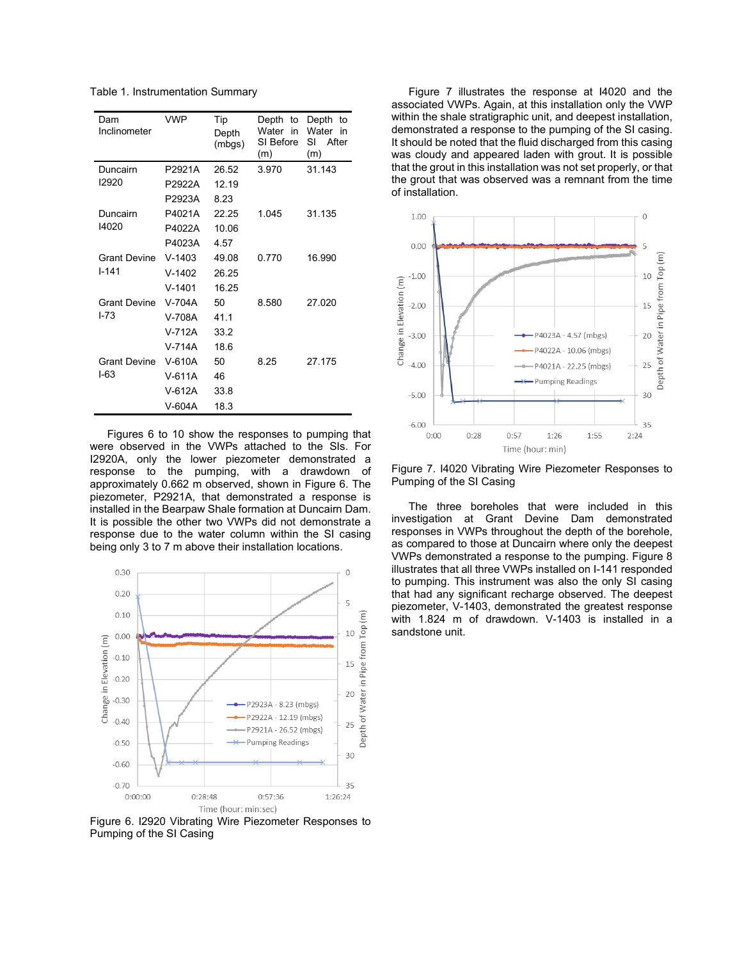Table 1. Instrumentation Summary

| Dam<br>Inclinometer              | <b>VWP</b> | Tip<br>Depth<br>(mbgs) | Depth<br>to<br>Water in<br>SI Before<br>(m) | Depth<br>to<br>Water<br>in<br>SI<br>After<br>(m) |
|----------------------------------|------------|------------------------|---------------------------------------------|--------------------------------------------------|
| Duncairn<br>12920                | P2921A     | 26.52                  | 3.970                                       | 31.143                                           |
|                                  | P2922A     | 12.19                  |                                             |                                                  |
|                                  | P2923A     | 8.23                   |                                             |                                                  |
| Duncairn<br>14020                | P4021A     | 22.25                  | 1.045                                       | 31.135                                           |
|                                  | P4022A     | 10.06                  |                                             |                                                  |
|                                  | P4023A     | 4.57                   |                                             |                                                  |
| <b>Grant Devine</b><br>$1 - 141$ | $V-1403$   | 49.08                  | 0.770                                       | 16.990                                           |
|                                  | $V-1402$   | 26.25                  |                                             |                                                  |
|                                  | $V-1401$   | 16.25                  |                                             |                                                  |
| <b>Grant Devine</b><br>$I - 73$  | V-704A     | 50                     | 8.580                                       | 27.020                                           |
|                                  | V-708A     | 41.1                   |                                             |                                                  |
|                                  | V-712A     | 33.2                   |                                             |                                                  |
|                                  | $V-714A$   | 18.6                   |                                             |                                                  |
| <b>Grant Devine</b><br>$I-63$    | V-610A     | 50                     | 8.25                                        | 27.175                                           |
|                                  | $V-611A$   | 46                     |                                             |                                                  |
|                                  | V-612A     | 33.8                   |                                             |                                                  |
|                                  | V-604A     | 18.3                   |                                             |                                                  |

Figures 6 to 10 show the responses to pumping that were observed in the VWPs attached to the SIs. For I2920A, only the lower piezometer demonstrated a response to the pumping, with a drawdown of approximately 0.662 m observed, shown in Figure 6. The piezometer, P2921A, that demonstrated a response is installed in the Bearpaw Shale formation at Duncairn Dam. It is possible the other two VWPs did not demonstrate a response due to the water column within the SI casing being only 3 to 7 m above their installation locations.



Figure 6. I2920 Vibrating Wire Piezometer Responses to Pumping of the SI Casing

Figure 7 illustrates the response at I4020 and the associated VWPs. Again, at this installation only the VWP within the shale stratigraphic unit, and deepest installation, demonstrated a response to the pumping of the SI casing. It should be noted that the fluid discharged from this casing was cloudy and appeared laden with grout. It is possible that the grout in this installation was not set properly, or that the grout that was observed was a remnant from the time of installation.



Figure 7. I4020 Vibrating Wire Piezometer Responses to Pumping of the SI Casing

The three boreholes that were included in this investigation at Grant Devine Dam demonstrated responses in VWPs throughout the depth of the borehole, as compared to those at Duncairn where only the deepest VWPs demonstrated a response to the pumping. Figure 8 illustrates that all three VWPs installed on I-141 responded to pumping. This instrument was also the only SI casing that had any significant recharge observed. The deepest piezometer, V-1403, demonstrated the greatest response with 1.824 m of drawdown. V-1403 is installed in a sandstone unit.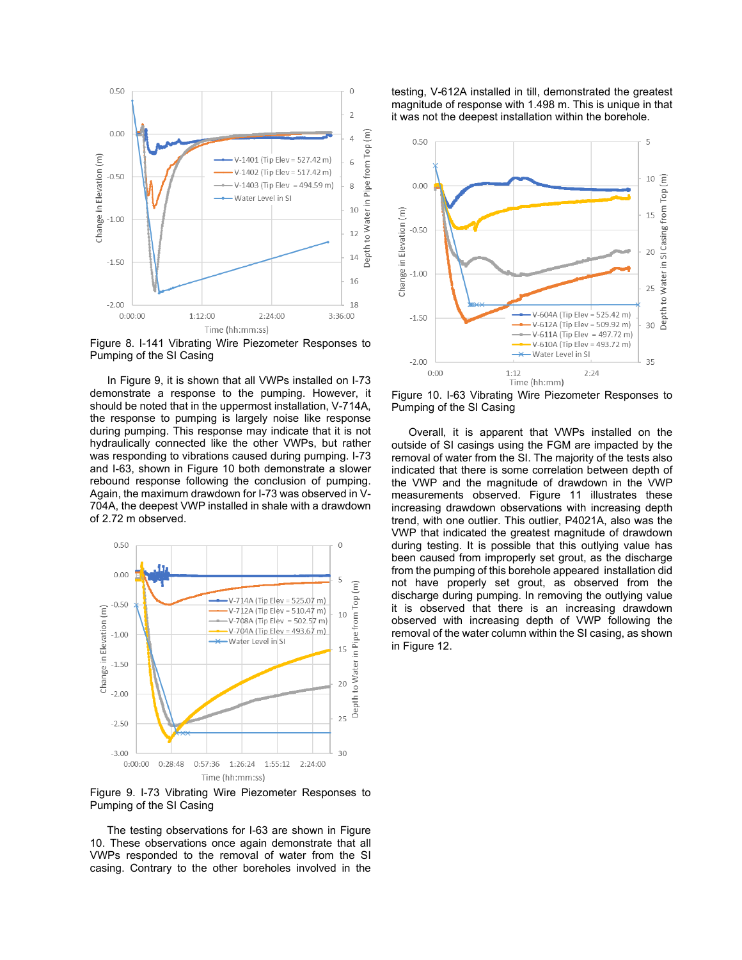

Figure 8. I-141 Vibrating Wire Piezometer Responses to Pumping of the SI Casing

In Figure 9, it is shown that all VWPs installed on I-73 demonstrate a response to the pumping. However, it should be noted that in the uppermost installation, V-714A, the response to pumping is largely noise like response during pumping. This response may indicate that it is not hydraulically connected like the other VWPs, but rather was responding to vibrations caused during pumping. I-73 and I-63, shown in Figure 10 both demonstrate a slower rebound response following the conclusion of pumping. Again, the maximum drawdown for I-73 was observed in V-704A, the deepest VWP installed in shale with a drawdown of 2.72 m observed.



Figure 9. I-73 Vibrating Wire Piezometer Responses to Pumping of the SI Casing

The testing observations for I-63 are shown in Figure 10. These observations once again demonstrate that all VWPs responded to the removal of water from the SI casing. Contrary to the other boreholes involved in the

testing, V-612A installed in till, demonstrated the greatest magnitude of response with 1.498 m. This is unique in that it was not the deepest installation within the borehole.



Figure 10. I-63 Vibrating Wire Piezometer Responses to Pumping of the SI Casing

Overall, it is apparent that VWPs installed on the outside of SI casings using the FGM are impacted by the removal of water from the SI. The majority of the tests also indicated that there is some correlation between depth of the VWP and the magnitude of drawdown in the VWP measurements observed. Figure 11 illustrates these increasing drawdown observations with increasing depth trend, with one outlier. This outlier, P4021A, also was the VWP that indicated the greatest magnitude of drawdown during testing. It is possible that this outlying value has been caused from improperly set grout, as the discharge from the pumping of this borehole appeared installation did not have properly set grout, as observed from the discharge during pumping. In removing the outlying value it is observed that there is an increasing drawdown observed with increasing depth of VWP following the removal of the water column within the SI casing, as shown in Figure 12.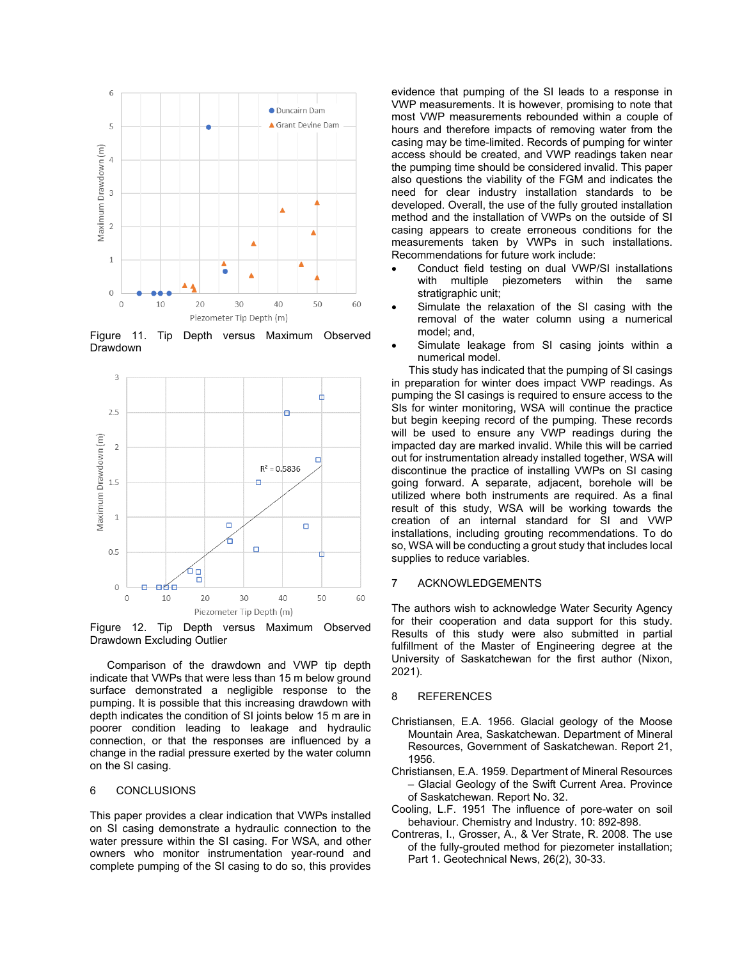

Figure 11. Tip Depth versus Maximum Observed Drawdown



Figure 12. Tip Depth versus Maximum Observed Drawdown Excluding Outlier

Comparison of the drawdown and VWP tip depth indicate that VWPs that were less than 15 m below ground surface demonstrated a negligible response to the pumping. It is possible that this increasing drawdown with depth indicates the condition of SI joints below 15 m are in poorer condition leading to leakage and hydraulic connection, or that the responses are influenced by a change in the radial pressure exerted by the water column on the SI casing.

#### 6 CONCLUSIONS

This paper provides a clear indication that VWPs installed on SI casing demonstrate a hydraulic connection to the water pressure within the SI casing. For WSA, and other owners who monitor instrumentation year-round and complete pumping of the SI casing to do so, this provides evidence that pumping of the SI leads to a response in VWP measurements. It is however, promising to note that most VWP measurements rebounded within a couple of hours and therefore impacts of removing water from the casing may be time-limited. Records of pumping for winter access should be created, and VWP readings taken near the pumping time should be considered invalid. This paper also questions the viability of the FGM and indicates the need for clear industry installation standards to be developed. Overall, the use of the fully grouted installation method and the installation of VWPs on the outside of SI casing appears to create erroneous conditions for the measurements taken by VWPs in such installations. Recommendations for future work include:

- Conduct field testing on dual VWP/SI installations with multiple piezometers within the same stratigraphic unit;
- Simulate the relaxation of the SI casing with the removal of the water column using a numerical model; and,
- Simulate leakage from SI casing joints within a numerical model.

This study has indicated that the pumping of SI casings in preparation for winter does impact VWP readings. As pumping the SI casings is required to ensure access to the SIs for winter monitoring, WSA will continue the practice but begin keeping record of the pumping. These records will be used to ensure any VWP readings during the impacted day are marked invalid. While this will be carried out for instrumentation already installed together, WSA will discontinue the practice of installing VWPs on SI casing going forward. A separate, adjacent, borehole will be utilized where both instruments are required. As a final result of this study, WSA will be working towards the creation of an internal standard for SI and VWP installations, including grouting recommendations. To do so, WSA will be conducting a grout study that includes local supplies to reduce variables.

#### 7 ACKNOWLEDGEMENTS

The authors wish to acknowledge Water Security Agency for their cooperation and data support for this study. Results of this study were also submitted in partial fulfillment of the Master of Engineering degree at the University of Saskatchewan for the first author (Nixon, 2021).

#### 8 REFERENCES

- Christiansen, E.A. 1956. Glacial geology of the Moose Mountain Area, Saskatchewan. Department of Mineral Resources, Government of Saskatchewan. Report 21, 1956.
- Christiansen, E.A. 1959. Department of Mineral Resources – Glacial Geology of the Swift Current Area. Province of Saskatchewan. Report No. 32.
- Cooling, L.F. 1951 The influence of pore-water on soil behaviour. Chemistry and Industry. 10: 892-898.
- Contreras, I., Grosser, A., & Ver Strate, R. 2008. The use of the fully-grouted method for piezometer installation; Part 1. Geotechnical News, 26(2), 30-33.